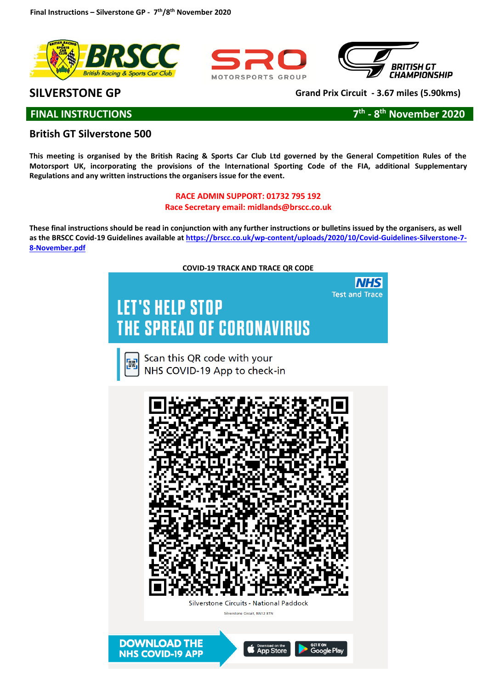





# **SILVERSTONE GP Grand Prix Circuit - 3.67 miles (5.90kms)**

**FINAL INSTRUCTIONS** 

**th - 8 th November 2020**

# **British GT Silverstone 500**

**This meeting is organised by the British Racing & Sports Car Club Ltd governed by the General Competition Rules of the Motorsport UK, incorporating the provisions of the International Sporting Code of the FIA, additional Supplementary Regulations and any written instructions the organisers issue for the event.** 

# **RACE ADMIN SUPPORT: 01732 795 192 Race Secretary email: midlands@brscc.co.uk**

**These final instructions should be read in conjunction with any further instructions or bulletins issued by the organisers, as well as the BRSCC Covid-19 Guidelines available at [https://brscc.co.uk/wp-content/uploads/2020/10/Covid-Guidelines-Silverstone-7-](https://brscc.co.uk/wp-content/uploads/2020/10/Covid-Guidelines-Silverstone-7-8-November.pdf) [8-November.pdf](https://brscc.co.uk/wp-content/uploads/2020/10/Covid-Guidelines-Silverstone-7-8-November.pdf)**

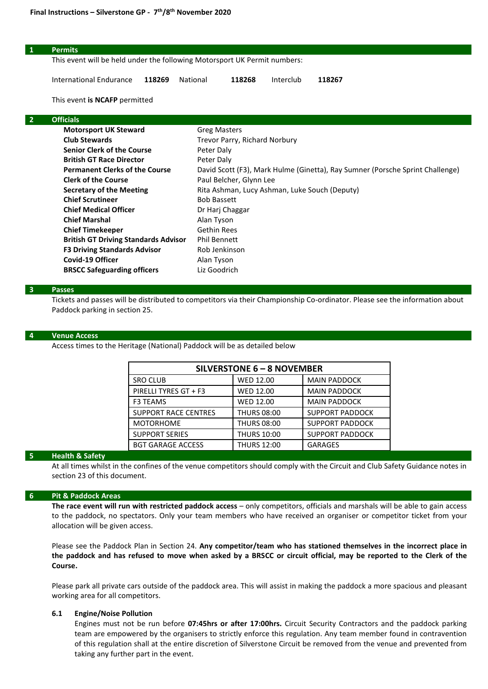|                | <b>Permits</b>                                                            |                                                                               |                                             |           |        |  |  |
|----------------|---------------------------------------------------------------------------|-------------------------------------------------------------------------------|---------------------------------------------|-----------|--------|--|--|
|                | This event will be held under the following Motorsport UK Permit numbers: |                                                                               |                                             |           |        |  |  |
|                |                                                                           |                                                                               |                                             |           |        |  |  |
|                | International Endurance<br>118269                                         | National                                                                      | 118268                                      | Interclub | 118267 |  |  |
|                | This event is NCAFP permitted                                             |                                                                               |                                             |           |        |  |  |
| $\overline{2}$ | <b>Officials</b>                                                          |                                                                               |                                             |           |        |  |  |
|                | <b>Motorsport UK Steward</b>                                              | <b>Greg Masters</b>                                                           |                                             |           |        |  |  |
|                | <b>Club Stewards</b>                                                      |                                                                               | Trevor Parry, Richard Norbury<br>Peter Daly |           |        |  |  |
|                | <b>Senior Clerk of the Course</b>                                         |                                                                               |                                             |           |        |  |  |
|                | <b>British GT Race Director</b>                                           | Peter Daly                                                                    |                                             |           |        |  |  |
|                | <b>Permanent Clerks of the Course</b>                                     | David Scott (F3), Mark Hulme (Ginetta), Ray Sumner (Porsche Sprint Challenge) |                                             |           |        |  |  |
|                | <b>Clerk of the Course</b>                                                | Paul Belcher, Glynn Lee                                                       |                                             |           |        |  |  |
|                | <b>Secretary of the Meeting</b>                                           | Rita Ashman, Lucy Ashman, Luke Souch (Deputy)                                 |                                             |           |        |  |  |
|                | <b>Chief Scrutineer</b>                                                   | <b>Bob Bassett</b>                                                            |                                             |           |        |  |  |
|                | <b>Chief Medical Officer</b>                                              | Dr Harj Chaggar                                                               |                                             |           |        |  |  |
|                | <b>Chief Marshal</b>                                                      | Alan Tyson                                                                    |                                             |           |        |  |  |
|                | <b>Chief Timekeeper</b>                                                   | <b>Gethin Rees</b>                                                            |                                             |           |        |  |  |

# **British GT Driving Standards Advisor** Phil Bennett **F3 Driving Standards Advisor** Rob Jenkinson **Covid-19 Officer Alan Tyson BRSCC Safeguarding officers** Liz Goodrich

#### **3 Passes**

Tickets and passes will be distributed to competitors via their Championship Co-ordinator. Please see the information about Paddock parking in section 25.

#### **4 Venue Access**

Access times to the Heritage (National) Paddock will be as detailed below

| SILVERSTONE 6 - 8 NOVEMBER  |                    |                        |  |  |  |  |  |
|-----------------------------|--------------------|------------------------|--|--|--|--|--|
| <b>SRO CLUB</b>             | <b>WED 12.00</b>   | <b>MAIN PADDOCK</b>    |  |  |  |  |  |
| PIRELLI TYRES GT + F3       | <b>WED 12.00</b>   | <b>MAIN PADDOCK</b>    |  |  |  |  |  |
| <b>F3 TEAMS</b>             | <b>WED 12.00</b>   | <b>MAIN PADDOCK</b>    |  |  |  |  |  |
| <b>SUPPORT RACE CENTRES</b> | <b>THURS 08:00</b> | <b>SUPPORT PADDOCK</b> |  |  |  |  |  |
| <b>MOTORHOME</b>            | <b>THURS 08:00</b> | <b>SUPPORT PADDOCK</b> |  |  |  |  |  |
| <b>SUPPORT SERIES</b>       | <b>THURS 10:00</b> | <b>SUPPORT PADDOCK</b> |  |  |  |  |  |
| <b>BGT GARAGE ACCESS</b>    | <b>THURS 12:00</b> | <b>GARAGES</b>         |  |  |  |  |  |

#### **5 Health & Safety**

At all times whilst in the confines of the venue competitors should comply with the Circuit and Club Safety Guidance notes in section 23 of this document.

#### **6 Pit & Paddock Areas**

**The race event will run with restricted paddock access** – only competitors, officials and marshals will be able to gain access to the paddock, no spectators. Only your team members who have received an organiser or competitor ticket from your allocation will be given access.

Please see the Paddock Plan in Section 24. **Any competitor/team who has stationed themselves in the incorrect place in the paddock and has refused to move when asked by a BRSCC or circuit official, may be reported to the Clerk of the Course.** 

Please park all private cars outside of the paddock area. This will assist in making the paddock a more spacious and pleasant working area for all competitors.

#### **6.1 Engine/Noise Pollution**

Engines must not be run before **07:45hrs or after 17:00hrs.** Circuit Security Contractors and the paddock parking team are empowered by the organisers to strictly enforce this regulation. Any team member found in contravention of this regulation shall at the entire discretion of Silverstone Circuit be removed from the venue and prevented from taking any further part in the event.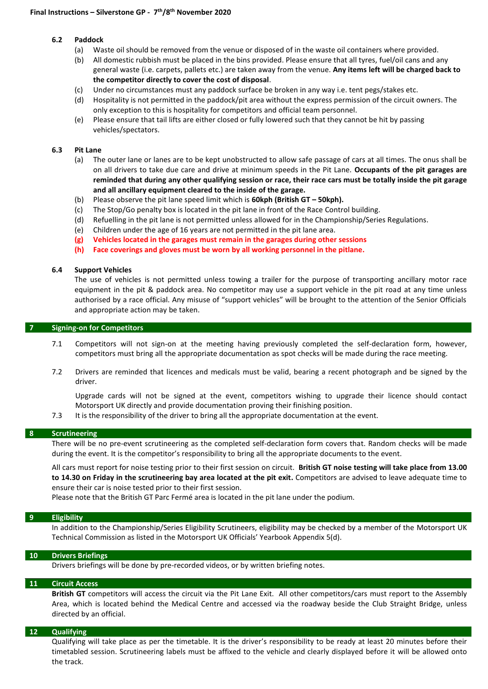#### **6.2 Paddock**

- 
- (a) Waste oil should be removed from the venue or disposed of in the waste oil containers where provided.<br>(b) All domestic rubbish must be placed in the bins provided. Please ensure that all tyres, fuel/oil cans and a All domestic rubbish must be placed in the bins provided. Please ensure that all tyres, fuel/oil cans and any general waste (i.e. carpets, pallets etc.) are taken away from the venue. **Any items left will be charged back to the competitor directly to cover the cost of disposal**.
- (c) Under no circumstances must any paddock surface be broken in any way i.e. tent pegs/stakes etc.
- (d) Hospitality is not permitted in the paddock/pit area without the express permission of the circuit owners. The only exception to this is hospitality for competitors and official team personnel.
- (e) Please ensure that tail lifts are either closed or fully lowered such that they cannot be hit by passing vehicles/spectators.

#### **6.3 Pit Lane**

- (a) The outer lane or lanes are to be kept unobstructed to allow safe passage of cars at all times. The onus shall be on all drivers to take due care and drive at minimum speeds in the Pit Lane. **Occupants of the pit garages are reminded that during any other qualifying session or race, their race cars must be totally inside the pit garage and all ancillary equipment cleared to the inside of the garage.**
- (b) Please observe the pit lane speed limit which is **60kph (British GT – 50kph).**
- (c) The Stop/Go penalty box is located in the pit lane in front of the Race Control building.
- (d) Refuelling in the pit lane is not permitted unless allowed for in the Championship/Series Regulations.
- (e) Children under the age of 16 years are not permitted in the pit lane area.
- **(g) Vehicles located in the garages must remain in the garages during other sessions**
- **(h) Face coverings and gloves must be worn by all working personnel in the pitlane.**

#### **6.4 Support Vehicles**

The use of vehicles is not permitted unless towing a trailer for the purpose of transporting ancillary motor race equipment in the pit & paddock area. No competitor may use a support vehicle in the pit road at any time unless authorised by a race official. Any misuse of "support vehicles" will be brought to the attention of the Senior Officials and appropriate action may be taken.

#### **7 Signing-on for Competitors**

- 7.1 Competitors will not sign-on at the meeting having previously completed the self-declaration form, however, competitors must bring all the appropriate documentation as spot checks will be made during the race meeting.
- 7.2 Drivers are reminded that licences and medicals must be valid, bearing a recent photograph and be signed by the driver.

Upgrade cards will not be signed at the event, competitors wishing to upgrade their licence should contact Motorsport UK directly and provide documentation proving their finishing position.

7.3 It is the responsibility of the driver to bring all the appropriate documentation at the event.

#### **8 Scrutineering**

There will be no pre-event scrutineering as the completed self-declaration form covers that. Random checks will be made during the event. It is the competitor's responsibility to bring all the appropriate documents to the event.

All cars must report for noise testing prior to their first session on circuit. **British GT noise testing will take place from 13.00 to 14.30 on Friday in the scrutineering bay area located at the pit exit.** Competitors are advised to leave adequate time to ensure their car is noise tested prior to their first session.

Please note that the British GT Parc Fermé area is located in the pit lane under the podium.

#### **9 Eligibility**

In addition to the Championship/Series Eligibility Scrutineers, eligibility may be checked by a member of the Motorsport UK Technical Commission as listed in the Motorsport UK Officials' Yearbook Appendix 5(d).

#### **10 Drivers Briefings**

Drivers briefings will be done by pre-recorded videos, or by written briefing notes.

#### **11 Circuit Access**

**British GT** competitors will access the circuit via the Pit Lane Exit. All other competitors/cars must report to the Assembly Area, which is located behind the Medical Centre and accessed via the roadway beside the Club Straight Bridge, unless directed by an official.

#### **12 Qualifying**

Qualifying will take place as per the timetable. It is the driver's responsibility to be ready at least 20 minutes before their timetabled session. Scrutineering labels must be affixed to the vehicle and clearly displayed before it will be allowed onto the track.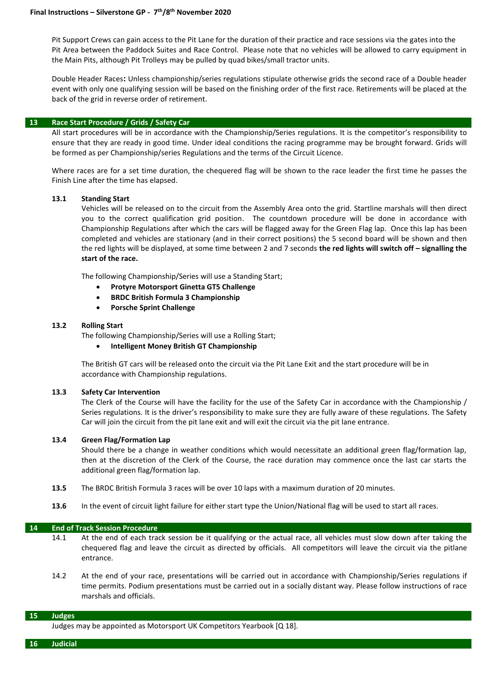Pit Support Crews can gain access to the Pit Lane for the duration of their practice and race sessions via the gates into the Pit Area between the Paddock Suites and Race Control. Please note that no vehicles will be allowed to carry equipment in the Main Pits, although Pit Trolleys may be pulled by quad bikes/small tractor units.

Double Header Races**:** Unless championship/series regulations stipulate otherwise grids the second race of a Double header event with only one qualifying session will be based on the finishing order of the first race. Retirements will be placed at the back of the grid in reverse order of retirement.

#### **13 Race Start Procedure / Grids / Safety Car**

All start procedures will be in accordance with the Championship/Series regulations. It is the competitor's responsibility to ensure that they are ready in good time. Under ideal conditions the racing programme may be brought forward. Grids will be formed as per Championship/series Regulations and the terms of the Circuit Licence.

Where races are for a set time duration, the chequered flag will be shown to the race leader the first time he passes the Finish Line after the time has elapsed.

#### **13.1 Standing Start**

Vehicles will be released on to the circuit from the Assembly Area onto the grid. Startline marshals will then direct you to the correct qualification grid position. The countdown procedure will be done in accordance with Championship Regulations after which the cars will be flagged away for the Green Flag lap. Once this lap has been completed and vehicles are stationary (and in their correct positions) the 5 second board will be shown and then the red lights will be displayed, at some time between 2 and 7 seconds **the red lights will switch off – signalling the start of the race.** 

The following Championship/Series will use a Standing Start;

- **Protyre Motorsport Ginetta GT5 Challenge**
- **BRDC British Formula 3 Championship**
- **Porsche Sprint Challenge**

#### **13.2 Rolling Start**

The following Championship/Series will use a Rolling Start;

• **Intelligent Money British GT Championship**

The British GT cars will be released onto the circuit via the Pit Lane Exit and the start procedure will be in accordance with Championship regulations.

#### **13.3 Safety Car Intervention**

The Clerk of the Course will have the facility for the use of the Safety Car in accordance with the Championship / Series regulations. It is the driver's responsibility to make sure they are fully aware of these regulations. The Safety Car will join the circuit from the pit lane exit and will exit the circuit via the pit lane entrance.

#### **13.4 Green Flag/Formation Lap**

Should there be a change in weather conditions which would necessitate an additional green flag/formation lap, then at the discretion of the Clerk of the Course, the race duration may commence once the last car starts the additional green flag/formation lap.

- **13.5** The BRDC British Formula 3 races will be over 10 laps with a maximum duration of 20 minutes.
- **13.6** In the event of circuit light failure for either start type the Union/National flag will be used to start all races.

#### **14 End of Track Session Procedure**

- 14.1 At the end of each track session be it qualifying or the actual race, all vehicles must slow down after taking the chequered flag and leave the circuit as directed by officials. All competitors will leave the circuit via the pitlane entrance.
- 14.2 At the end of your race, presentations will be carried out in accordance with Championship/Series regulations if time permits. Podium presentations must be carried out in a socially distant way. Please follow instructions of race marshals and officials.

#### **15 Judges**

Judges may be appointed as Motorsport UK Competitors Yearbook [Q 18].

**16 Judicial**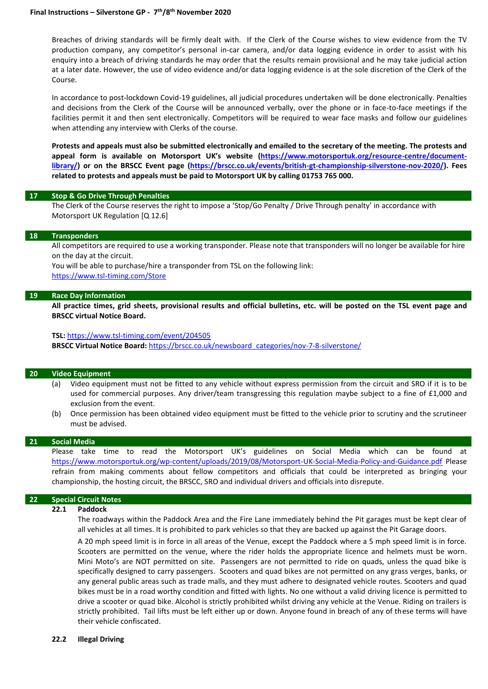Breaches of driving standards will be firmly dealt with. If the Clerk of the Course wishes to view evidence from the TV production company, any competitor's personal in-car camera, and/or data logging evidence in order to assist with his enquiry into a breach of driving standards he may order that the results remain provisional and he may take judicial action at a later date. However, the use of video evidence and/or data logging evidence is at the sole discretion of the Clerk of the Course.

In accordance to post-lockdown Covid-19 guidelines, all judicial procedures undertaken will be done electronically. Penalties and decisions from the Clerk of the Course will be announced verbally, over the phone or in face-to-face meetings if the facilities permit it and then sent electronically. Competitors will be required to wear face masks and follow our guidelines when attending any interview with Clerks of the course.

**Protests and appeals must also be submitted electronically and emailed to the secretary of the meeting. The protests and appeal form is available on Motorsport UK's website [\(https://www.motorsportuk.org/resource-centre/document](https://www.motorsportuk.org/resource-centre/document-library/)[library/\)](https://www.motorsportuk.org/resource-centre/document-library/) or on the BRSCC Event page [\(https://brscc.co.uk/events/british-gt-championship-silverstone-nov-2020/\)](https://brscc.co.uk/events/british-gt-championship-silverstone-nov-2020/). Fees related to protests and appeals must be paid to Motorsport UK by calling 01753 765 000.** 

#### **17 Stop & Go Drive Through Penalties**

The Clerk of the Course reserves the right to impose a 'Stop/Go Penalty / Drive Through penalty' in accordance with Motorsport UK Regulation [Q 12.6]

#### **18 Transponders**

All competitors are required to use a working transponder. Please note that transponders will no longer be available for hire on the day at the circuit.

You will be able to purchase/hire a transponder from TSL on the following link:

<https://www.tsl-timing.com/Store>

#### **19 Race Day Information**

**All practice times, grid sheets, provisional results and official bulletins, etc. will be posted on the TSL event page and BRSCC virtual Notice Board.**

#### **TSL:** <https://www.tsl-timing.com/event/204505>

BRSCC Virtual Notice Board: [https://brscc.co.uk/newsboard\\_categories/nov-7-8-silverstone/](https://brscc.co.uk/newsboard_categories/nov-7-8-silverstone/)

#### **20 Video Equipment**

- (a) Video equipment must not be fitted to any vehicle without express permission from the circuit and SRO if it is to be used for commercial purposes. Any driver/team transgressing this regulation maybe subject to a fine of £1,000 and exclusion from the event.
- (b) Once permission has been obtained video equipment must be fitted to the vehicle prior to scrutiny and the scrutineer must be advised.

#### **21 Social Media**

Please take time to read the Motorsport UK's guidelines on Social Media which can be found at <https://www.motorsportuk.org/wp-content/uploads/2019/08/Motorsport-UK-Social-Media-Policy-and-Guidance.pdf> Please refrain from making comments about fellow competitors and officials that could be interpreted as bringing your championship, the hosting circuit, the BRSCC, SRO and individual drivers and officials into disrepute.

#### **22 Special Circuit Notes**

#### **22.1 Paddock**

The roadways within the Paddock Area and the Fire Lane immediately behind the Pit garages must be kept clear of all vehicles at all times. It is prohibited to park vehicles so that they are backed up against the Pit Garage doors.

A 20 mph speed limit is in force in all areas of the Venue, except the Paddock where a 5 mph speed limit is in force. Scooters are permitted on the venue, where the rider holds the appropriate licence and helmets must be worn. Mini Moto's are NOT permitted on site. Passengers are not permitted to ride on quads, unless the quad bike is specifically designed to carry passengers. Scooters and quad bikes are not permitted on any grass verges, banks, or any general public areas such as trade malls, and they must adhere to designated vehicle routes. Scooters and quad bikes must be in a road worthy condition and fitted with lights. No one without a valid driving licence is permitted to drive a scooter or quad bike. Alcohol is strictly prohibited whilst driving any vehicle at the Venue. Riding on trailers is strictly prohibited. Tail lifts must be left either up or down. Anyone found in breach of any of these terms will have their vehicle confiscated.

#### **22.2 Illegal Driving**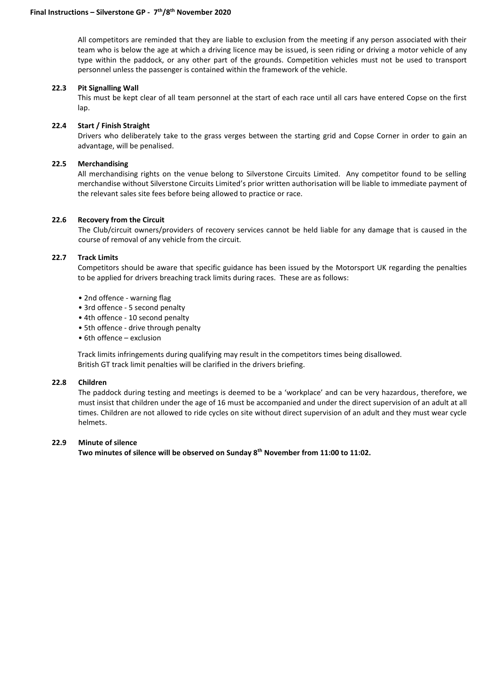All competitors are reminded that they are liable to exclusion from the meeting if any person associated with their team who is below the age at which a driving licence may be issued, is seen riding or driving a motor vehicle of any type within the paddock, or any other part of the grounds. Competition vehicles must not be used to transport personnel unless the passenger is contained within the framework of the vehicle.

#### **22.3 Pit Signalling Wall**

This must be kept clear of all team personnel at the start of each race until all cars have entered Copse on the first lap.

#### **22.4 Start / Finish Straight**

Drivers who deliberately take to the grass verges between the starting grid and Copse Corner in order to gain an advantage, will be penalised.

#### **22.5 Merchandising**

All merchandising rights on the venue belong to Silverstone Circuits Limited. Any competitor found to be selling merchandise without Silverstone Circuits Limited's prior written authorisation will be liable to immediate payment of the relevant sales site fees before being allowed to practice or race.

#### **22.6 Recovery from the Circuit**

The Club/circuit owners/providers of recovery services cannot be held liable for any damage that is caused in the course of removal of any vehicle from the circuit.

# **22.7 Track Limits**

Competitors should be aware that specific guidance has been issued by the Motorsport UK regarding the penalties to be applied for drivers breaching track limits during races. These are as follows:

- 2nd offence warning flag
- 3rd offence 5 second penalty
- 4th offence 10 second penalty
- 5th offence drive through penalty
- 6th offence exclusion

Track limits infringements during qualifying may result in the competitors times being disallowed. British GT track limit penalties will be clarified in the drivers briefing.

#### **22.8 Children**

The paddock during testing and meetings is deemed to be a 'workplace' and can be very hazardous, therefore, we must insist that children under the age of 16 must be accompanied and under the direct supervision of an adult at all times. Children are not allowed to ride cycles on site without direct supervision of an adult and they must wear cycle helmets.

#### **22.9 Minute of silence**

**Two minutes of silence will be observed on Sunday 8th November from 11:00 to 11:02.**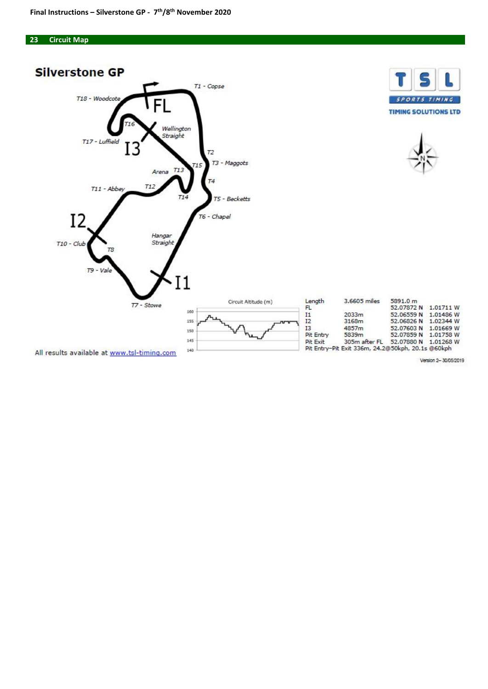#### **23 Circuit Map**

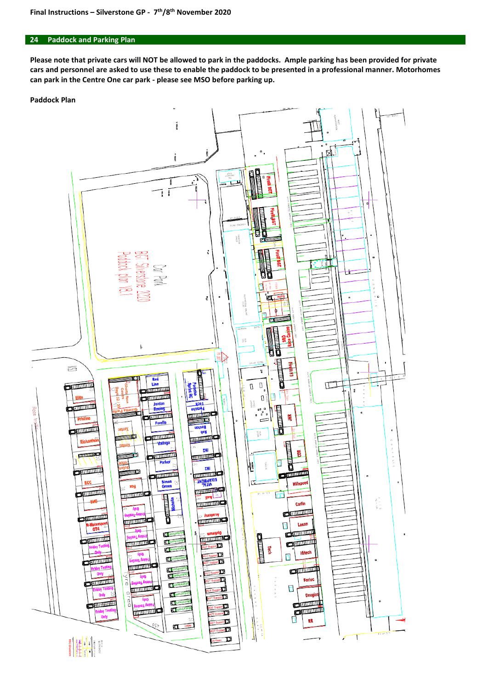#### **24 Paddock and Parking Plan**

**Please note that private cars will NOT be allowed to park in the paddocks. Ample parking has been provided for private cars and personnel are asked to use these to enable the paddock to be presented in a professional manner. Motorhomes can park in the Centre One car park - please see MSO before parking up.**

#### **Paddock Plan**

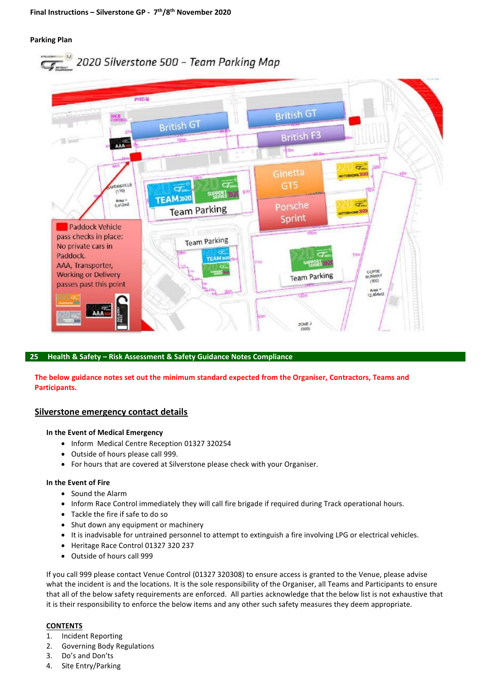### **Parking Plan**





### **25 Health & Safety – Risk Assessment & Safety Guidance Notes Compliance**

**The below guidance notes set out the minimum standard expected from the Organiser, Contractors, Teams and Participants.**

### **Silverstone emergency contact details**

### **In the Event of Medical Emergency**

- Inform Medical Centre Reception 01327 320254
- Outside of hours please call 999.
- For hours that are covered at Silverstone please check with your Organiser.

#### **In the Event of Fire**

- Sound the Alarm
- Inform Race Control immediately they will call fire brigade if required during Track operational hours.
- Tackle the fire if safe to do so
- Shut down any equipment or machinery
- It is inadvisable for untrained personnel to attempt to extinguish a fire involving LPG or electrical vehicles.
- Heritage Race Control 01327 320 237
- Outside of hours call 999

If you call 999 please contact Venue Control (01327 320308) to ensure access is granted to the Venue, please advise what the incident is and the locations. It is the sole responsibility of the Organiser, all Teams and Participants to ensure that all of the below safety requirements are enforced. All parties acknowledge that the below list is not exhaustive that it is their responsibility to enforce the below items and any other such safety measures they deem appropriate.

### **CONTENTS**

- 1. Incident Reporting
- 2. Governing Body Regulations
- 3. Do's and Don'ts
- 4. Site Entry/Parking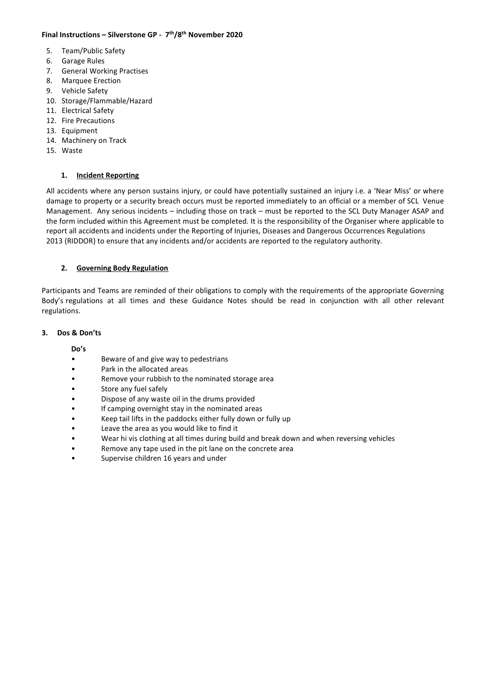# **Final Instructions – Silverstone GP - 7 th/8 th November 2020**

- 5. Team/Public Safety
- 6. Garage Rules
- 7. General Working Practises
- 8. Marquee Erection
- 9. Vehicle Safety
- 10. Storage/Flammable/Hazard
- 11. Electrical Safety
- 12. Fire Precautions
- 13. Equipment
- 14. Machinery on Track
- 15. Waste

# **1. Incident Reporting**

All accidents where any person sustains injury, or could have potentially sustained an injury i.e. a 'Near Miss' or where damage to property or a security breach occurs must be reported immediately to an official or a member of SCL Venue Management. Any serious incidents – including those on track – must be reported to the SCL Duty Manager ASAP and the form included within this Agreement must be completed. It is the responsibility of the Organiser where applicable to report all accidents and incidents under the Reporting of Injuries, Diseases and Dangerous Occurrences Regulations 2013 (RIDDOR) to ensure that any incidents and/or accidents are reported to the regulatory authority.

# **2. Governing Body Regulation**

Participants and Teams are reminded of their obligations to comply with the requirements of the appropriate Governing Body's regulations at all times and these Guidance Notes should be read in conjunction with all other relevant regulations.

### **3. Dos & Don'ts**

# **Do's**

- Beware of and give way to pedestrians
- Park in the allocated areas
- Remove your rubbish to the nominated storage area
- Store any fuel safely
- Dispose of any waste oil in the drums provided
- If camping overnight stay in the nominated areas
- Keep tail lifts in the paddocks either fully down or fully up
- Leave the area as you would like to find it
- Wear hi vis clothing at all times during build and break down and when reversing vehicles
- Remove any tape used in the pit lane on the concrete area
- Supervise children 16 years and under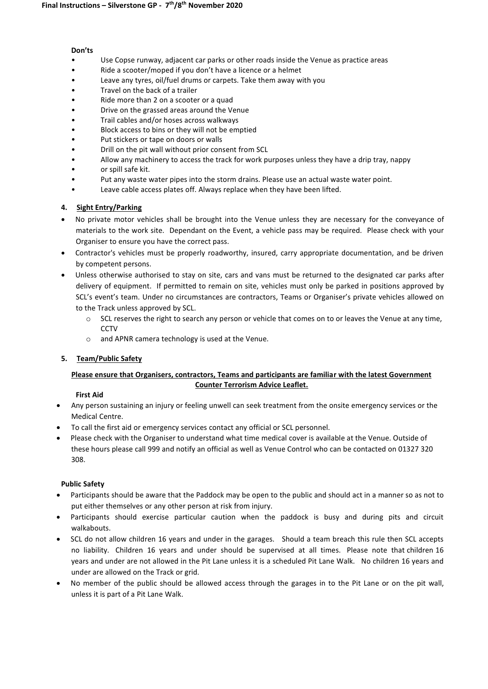#### **Don'ts**

- Use Copse runway, adjacent car parks or other roads inside the Venue as practice areas
- Ride a scooter/moped if you don't have a licence or a helmet
- Leave any tyres, oil/fuel drums or carpets. Take them away with you
- Travel on the back of a trailer
- Ride more than 2 on a scooter or a quad
- Drive on the grassed areas around the Venue
- Trail cables and/or hoses across walkways
- Block access to bins or they will not be emptied
- Put stickers or tape on doors or walls
- Drill on the pit wall without prior consent from SCL
- Allow any machinery to access the track for work purposes unless they have a drip tray, nappy
- or spill safe kit.
- Put any waste water pipes into the storm drains. Please use an actual waste water point.
- Leave cable access plates off. Always replace when they have been lifted.

# **4. Sight Entry/Parking**

- No private motor vehicles shall be brought into the Venue unless they are necessary for the conveyance of materials to the work site. Dependant on the Event, a vehicle pass may be required. Please check with your Organiser to ensure you have the correct pass.
- Contractor's vehicles must be properly roadworthy, insured, carry appropriate documentation, and be driven by competent persons.
- Unless otherwise authorised to stay on site, cars and vans must be returned to the designated car parks after delivery of equipment. If permitted to remain on site, vehicles must only be parked in positions approved by SCL's event's team. Under no circumstances are contractors, Teams or Organiser's private vehicles allowed on to the Track unless approved by SCL.
	- $\circ$  SCL reserves the right to search any person or vehicle that comes on to or leaves the Venue at any time, **CCTV**
	- o and APNR camera technology is used at the Venue.

# **5. Team/Public Safety**

# **Please ensure that Organisers, contractors, Teams and participants are familiar with the latest Government Counter Terrorism Advice Leaflet.**

### **First Aid**

- Any person sustaining an injury or feeling unwell can seek treatment from the onsite emergency services or the Medical Centre.
- To call the first aid or emergency services contact any official or SCL personnel.
- Please check with the Organiser to understand what time medical cover is available at the Venue. Outside of these hours please call 999 and notify an official as well as Venue Control who can be contacted on 01327 320 308.

### **Public Safety**

- Participants should be aware that the Paddock may be open to the public and should act in a manner so as not to put either themselves or any other person at risk from injury.
- Participants should exercise particular caution when the paddock is busy and during pits and circuit walkabouts.
- SCL do not allow children 16 years and under in the garages. Should a team breach this rule then SCL accepts no liability. Children 16 years and under should be supervised at all times. Please note that children 16 years and under are not allowed in the Pit Lane unless it is a scheduled Pit Lane Walk. No children 16 years and under are allowed on the Track or grid.
- No member of the public should be allowed access through the garages in to the Pit Lane or on the pit wall, unless it is part of a Pit Lane Walk.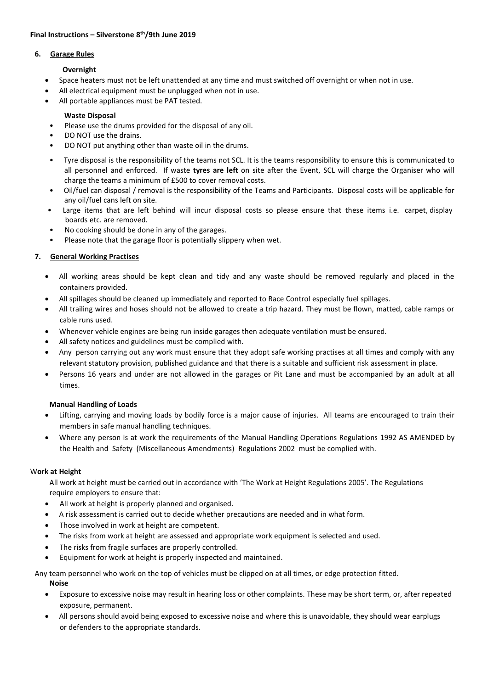#### **6. Garage Rules**

# **Overnight**

- Space heaters must not be left unattended at any time and must switched off overnight or when not in use.
- All electrical equipment must be unplugged when not in use.
- All portable appliances must be PAT tested.

# **Waste Disposal**

- Please use the drums provided for the disposal of any oil.
- DO NOT use the drains.
- DO NOT put anything other than waste oil in the drums.
- Tyre disposal is the responsibility of the teams not SCL. It is the teams responsibility to ensure this is communicated to all personnel and enforced. If waste **tyres are left** on site after the Event, SCL will charge the Organiser who will charge the teams a minimum of £500 to cover removal costs.
- Oil/fuel can disposal / removal is the responsibility of the Teams and Participants. Disposal costs will be applicable for any oil/fuel cans left on site.
- Large items that are left behind will incur disposal costs so please ensure that these items i.e. carpet, display boards etc. are removed.
- No cooking should be done in any of the garages.
- Please note that the garage floor is potentially slippery when wet.

# **7. General Working Practises**

- All working areas should be kept clean and tidy and any waste should be removed regularly and placed in the containers provided.
- All spillages should be cleaned up immediately and reported to Race Control especially fuel spillages.
- All trailing wires and hoses should not be allowed to create a trip hazard. They must be flown, matted, cable ramps or cable runs used.
- Whenever vehicle engines are being run inside garages then adequate ventilation must be ensured.
- All safety notices and guidelines must be complied with.
- Any person carrying out any work must ensure that they adopt safe working practises at all times and comply with any relevant statutory provision, published guidance and that there is a suitable and sufficient risk assessment in place.
- Persons 16 years and under are not allowed in the garages or Pit Lane and must be accompanied by an adult at all times.

### **Manual Handling of Loads**

- Lifting, carrying and moving loads by bodily force is a major cause of injuries. All teams are encouraged to train their members in safe manual handling techniques.
- Where any person is at work the requirements of the Manual Handling Operations Regulations 1992 AS AMENDED by the Health and Safety (Miscellaneous Amendments) Regulations 2002 must be complied with.

### W**ork at Height**

All work at height must be carried out in accordance with 'The Work at Height Regulations 2005'. The Regulations require employers to ensure that:

- All work at height is properly planned and organised.
- A risk assessment is carried out to decide whether precautions are needed and in what form.
- Those involved in work at height are competent.
- The risks from work at height are assessed and appropriate work equipment is selected and used.
- The risks from fragile surfaces are properly controlled.
- Equipment for work at height is properly inspected and maintained.

Any team personnel who work on the top of vehicles must be clipped on at all times, or edge protection fitted. **Noise**

- Exposure to excessive noise may result in hearing loss or other complaints. These may be short term, or, after repeated exposure, permanent.
- All persons should avoid being exposed to excessive noise and where this is unavoidable, they should wear earplugs or defenders to the appropriate standards.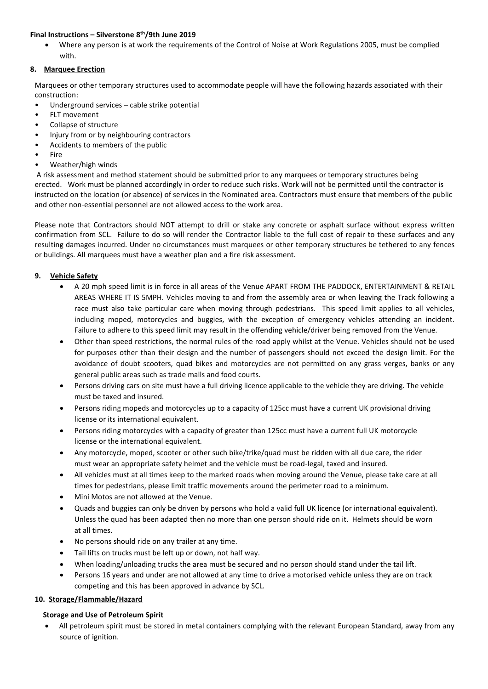• Where any person is at work the requirements of the Control of Noise at Work Regulations 2005, must be complied with.

# **8. Marquee Erection**

Marquees or other temporary structures used to accommodate people will have the following hazards associated with their construction:

- Underground services cable strike potential
- FLT movement
- Collapse of structure
- Injury from or by neighbouring contractors
- Accidents to members of the public
- **Fire**
- Weather/high winds

A risk assessment and method statement should be submitted prior to any marquees or temporary structures being erected. Work must be planned accordingly in order to reduce such risks. Work will not be permitted until the contractor is instructed on the location (or absence) of services in the Nominated area. Contractors must ensure that members of the public and other non-essential personnel are not allowed access to the work area.

Please note that Contractors should NOT attempt to drill or stake any concrete or asphalt surface without express written confirmation from SCL. Failure to do so will render the Contractor liable to the full cost of repair to these surfaces and any resulting damages incurred. Under no circumstances must marquees or other temporary structures be tethered to any fences or buildings. All marquees must have a weather plan and a fire risk assessment.

# **9. Vehicle Safety**

- A 20 mph speed limit is in force in all areas of the Venue APART FROM THE PADDOCK, ENTERTAINMENT & RETAIL AREAS WHERE IT IS 5MPH. Vehicles moving to and from the assembly area or when leaving the Track following a race must also take particular care when moving through pedestrians. This speed limit applies to all vehicles, including moped, motorcycles and buggies, with the exception of emergency vehicles attending an incident. Failure to adhere to this speed limit may result in the offending vehicle/driver being removed from the Venue.
- Other than speed restrictions, the normal rules of the road apply whilst at the Venue. Vehicles should not be used for purposes other than their design and the number of passengers should not exceed the design limit. For the avoidance of doubt scooters, quad bikes and motorcycles are not permitted on any grass verges, banks or any general public areas such as trade malls and food courts.
- Persons driving cars on site must have a full driving licence applicable to the vehicle they are driving. The vehicle must be taxed and insured.
- Persons riding mopeds and motorcycles up to a capacity of 125cc must have a current UK provisional driving license or its international equivalent.
- Persons riding motorcycles with a capacity of greater than 125cc must have a current full UK motorcycle license or the international equivalent.
- Any motorcycle, moped, scooter or other such bike/trike/quad must be ridden with all due care, the rider must wear an appropriate safety helmet and the vehicle must be road-legal, taxed and insured.
- All vehicles must at all times keep to the marked roads when moving around the Venue, please take care at all times for pedestrians, please limit traffic movements around the perimeter road to a minimum.
- Mini Motos are not allowed at the Venue.
- Quads and buggies can only be driven by persons who hold a valid full UK licence (or international equivalent). Unless the quad has been adapted then no more than one person should ride on it. Helmets should be worn at all times.
- No persons should ride on any trailer at any time.
- Tail lifts on trucks must be left up or down, not half way.
- When loading/unloading trucks the area must be secured and no person should stand under the tail lift.
- Persons 16 years and under are not allowed at any time to drive a motorised vehicle unless they are on track competing and this has been approved in advance by SCL.

### **10. Storage/Flammable/Hazard**

### **Storage and Use of Petroleum Spirit**

• All petroleum spirit must be stored in metal containers complying with the relevant European Standard, away from any source of ignition.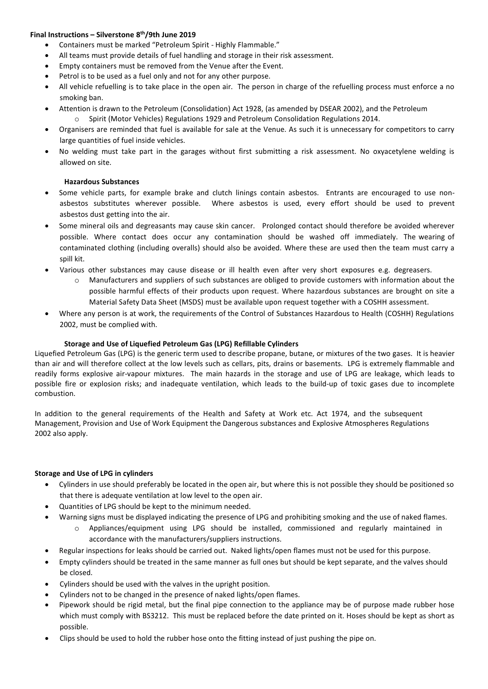- Containers must be marked "Petroleum Spirit Highly Flammable."
- All teams must provide details of fuel handling and storage in their risk assessment.
- Empty containers must be removed from the Venue after the Event.
- Petrol is to be used as a fuel only and not for any other purpose.
- All vehicle refuelling is to take place in the open air. The person in charge of the refuelling process must enforce a no smoking ban.
- Attention is drawn to the Petroleum (Consolidation) Act 1928, (as amended by DSEAR 2002), and the Petroleum o Spirit (Motor Vehicles) Regulations 1929 and Petroleum Consolidation Regulations 2014.
- Organisers are reminded that fuel is available for sale at the Venue. As such it is unnecessary for competitors to carry large quantities of fuel inside vehicles.
- No welding must take part in the garages without first submitting a risk assessment. No oxyacetylene welding is allowed on site.

# **Hazardous Substances**

- Some vehicle parts, for example brake and clutch linings contain asbestos. Entrants are encouraged to use nonasbestos substitutes wherever possible. Where asbestos is used, every effort should be used to prevent asbestos dust getting into the air.
- Some mineral oils and degreasants may cause skin cancer. Prolonged contact should therefore be avoided wherever possible. Where contact does occur any contamination should be washed off immediately. The wearing of contaminated clothing (including overalls) should also be avoided. Where these are used then the team must carry a spill kit.
- Various other substances may cause disease or ill health even after very short exposures e.g. degreasers.
	- o Manufacturers and suppliers of such substances are obliged to provide customers with information about the possible harmful effects of their products upon request. Where hazardous substances are brought on site a Material Safety Data Sheet (MSDS) must be available upon request together with a COSHH assessment.
- Where any person is at work, the requirements of the Control of Substances Hazardous to Health (COSHH) Regulations 2002, must be complied with.

# **Storage and Use of Liquefied Petroleum Gas (LPG) Refillable Cylinders**

Liquefied Petroleum Gas (LPG) is the generic term used to describe propane, butane, or mixtures of the two gases. It is heavier than air and will therefore collect at the low levels such as cellars, pits, drains or basements. LPG is extremely flammable and readily forms explosive air-vapour mixtures. The main hazards in the storage and use of LPG are leakage, which leads to possible fire or explosion risks; and inadequate ventilation, which leads to the build-up of toxic gases due to incomplete combustion.

In addition to the general requirements of the Health and Safety at Work etc. Act 1974, and the subsequent Management, Provision and Use of Work Equipment the Dangerous substances and Explosive Atmospheres Regulations 2002 also apply.

### **Storage and Use of LPG in cylinders**

- Cylinders in use should preferably be located in the open air, but where this is not possible they should be positioned so that there is adequate ventilation at low level to the open air.
- Quantities of LPG should be kept to the minimum needed.
- Warning signs must be displayed indicating the presence of LPG and prohibiting smoking and the use of naked flames.
	- o Appliances/equipment using LPG should be installed, commissioned and regularly maintained in accordance with the manufacturers/suppliers instructions.
- Regular inspections for leaks should be carried out. Naked lights/open flames must not be used for this purpose.
- Empty cylinders should be treated in the same manner as full ones but should be kept separate, and the valves should be closed.
- Cylinders should be used with the valves in the upright position.
- Cylinders not to be changed in the presence of naked lights/open flames.
- Pipework should be rigid metal, but the final pipe connection to the appliance may be of purpose made rubber hose which must comply with BS3212. This must be replaced before the date printed on it. Hoses should be kept as short as possible.
- Clips should be used to hold the rubber hose onto the fitting instead of just pushing the pipe on.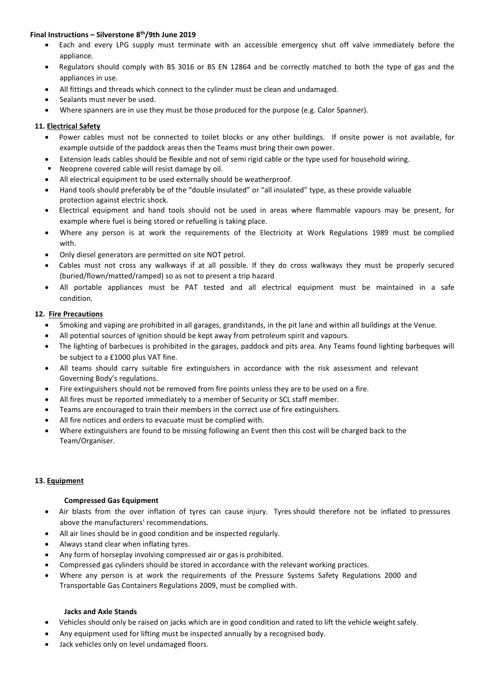- Each and every LPG supply must terminate with an accessible emergency shut off valve immediately before the appliance.
- Regulators should comply with BS 3016 or BS EN 12864 and be correctly matched to both the type of gas and the appliances in use.
- All fittings and threads which connect to the cylinder must be clean and undamaged.
- Sealants must never be used.
- Where spanners are in use they must be those produced for the purpose (e.g. Calor Spanner).

# **11. Electrical Safety**

- Power cables must not be connected to toilet blocks or any other buildings. If onsite power is not available, for example outside of the paddock areas then the Teams must bring their own power.
- Extension leads cables should be flexible and not of semi rigid cable or the type used for household wiring.
- Neoprene covered cable will resist damage by oil.
- All electrical equipment to be used externally should be weatherproof.
- Hand tools should preferably be of the "double insulated" or "all insulated" type, as these provide valuable protection against electric shock.
- Electrical equipment and hand tools should not be used in areas where flammable vapours may be present, for example where fuel is being stored or refuelling is taking place.
- Where any person is at work the requirements of the Electricity at Work Regulations 1989 must be complied with.
- Only diesel generators are permitted on site NOT petrol.
- Cables must not cross any walkways if at all possible. If they do cross walkways they must be properly secured (buried/flown/matted/ramped) so as not to present a trip hazard
- All portable appliances must be PAT tested and all electrical equipment must be maintained in a safe condition.

# **12. Fire Precautions**

- Smoking and vaping are prohibited in all garages, grandstands, in the pit lane and within all buildings at the Venue.
- All potential sources of ignition should be kept away from petroleum spirit and vapours.
- The lighting of barbecues is prohibited in the garages, paddock and pits area. Any Teams found lighting barbeques will be subject to a £1000 plus VAT fine.
- All teams should carry suitable fire extinguishers in accordance with the risk assessment and relevant Governing Body's regulations.
- Fire extinguishers should not be removed from fire points unless they are to be used on a fire.
- All fires must be reported immediately to a member of Security or SCL staff member.
- Teams are encouraged to train their members in the correct use of fire extinguishers.
- All fire notices and orders to evacuate must be complied with.
- Where extinguishers are found to be missing following an Event then this cost will be charged back to the Team/Organiser.

# **13. Equipment**

### **Compressed Gas Equipment**

- Air blasts from the over inflation of tyres can cause injury. Tyres should therefore not be inflated to pressures above the manufacturers' recommendations.
- All air lines should be in good condition and be inspected regularly.
- Always stand clear when inflating tyres.
- Any form of horseplay involving compressed air or gas is prohibited.
- Compressed gas cylinders should be stored in accordance with the relevant working practices.
- Where any person is at work the requirements of the Pressure Systems Safety Regulations 2000 and Transportable Gas Containers Regulations 2009, must be complied with.

### **Jacks and Axle Stands**

- Vehicles should only be raised on jacks which are in good condition and rated to lift the vehicle weight safely.
- Any equipment used for lifting must be inspected annually by a recognised body.
- Jack vehicles only on level undamaged floors.